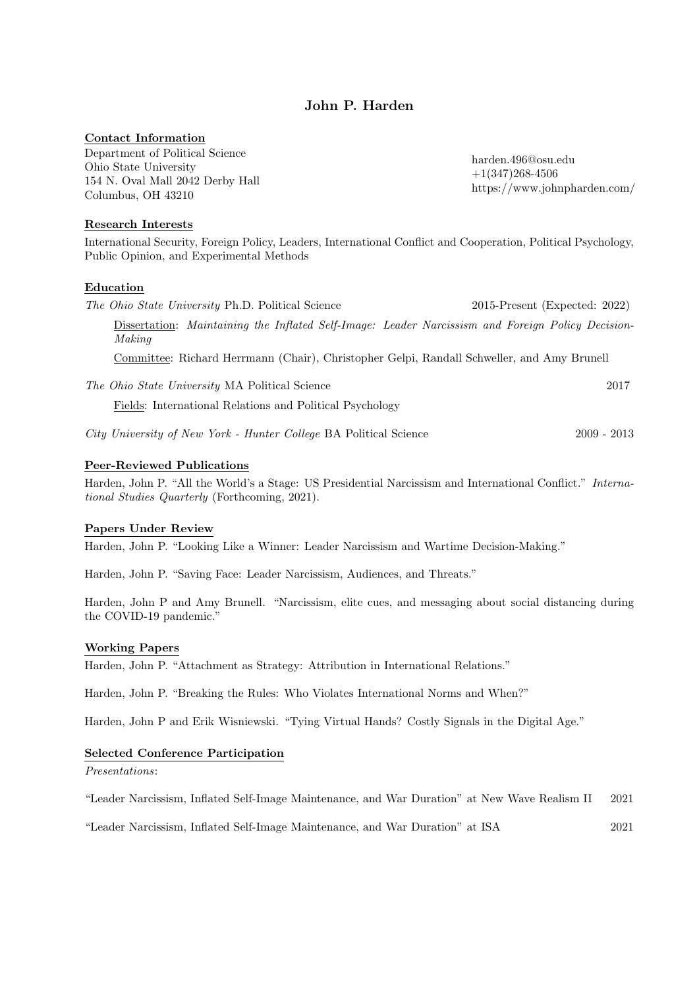# John P. Harden

# Contact Information

Department of Political Science Ohio State University 154 N. Oval Mall 2042 Derby Hall Columbus, OH 43210

harden.496@osu.edu +1(347)268-4506 https://www.johnpharden.com/

### Research Interests

International Security, Foreign Policy, Leaders, International Conflict and Cooperation, Political Psychology, Public Opinion, and Experimental Methods

## Education

The Ohio State University Ph.D. Political Science 2015-Present (Expected: 2022) Dissertation: Maintaining the Inflated Self-Image: Leader Narcissism and Foreign Policy Decision-Making Committee: Richard Herrmann (Chair), Christopher Gelpi, Randall Schweller, and Amy Brunell The Ohio State University MA Political Science 2017 Fields: International Relations and Political Psychology

City University of New York - Hunter College BA Political Science 2009 - 2013

## Peer-Reviewed Publications

Harden, John P. "All the World's a Stage: US Presidential Narcissism and International Conflict." International Studies Quarterly (Forthcoming, 2021).

# Papers Under Review

Harden, John P. "Looking Like a Winner: Leader Narcissism and Wartime Decision-Making."

Harden, John P. "Saving Face: Leader Narcissism, Audiences, and Threats."

Harden, John P and Amy Brunell. "Narcissism, elite cues, and messaging about social distancing during the COVID-19 pandemic."

### Working Papers

Harden, John P. "Attachment as Strategy: Attribution in International Relations."

Harden, John P. "Breaking the Rules: Who Violates International Norms and When?"

Harden, John P and Erik Wisniewski. "Tying Virtual Hands? Costly Signals in the Digital Age."

### Selected Conference Participation

Presentations:

"Leader Narcissism, Inflated Self-Image Maintenance, and War Duration" at New Wave Realism II 2021

"Leader Narcissism, Inflated Self-Image Maintenance, and War Duration" at ISA 2021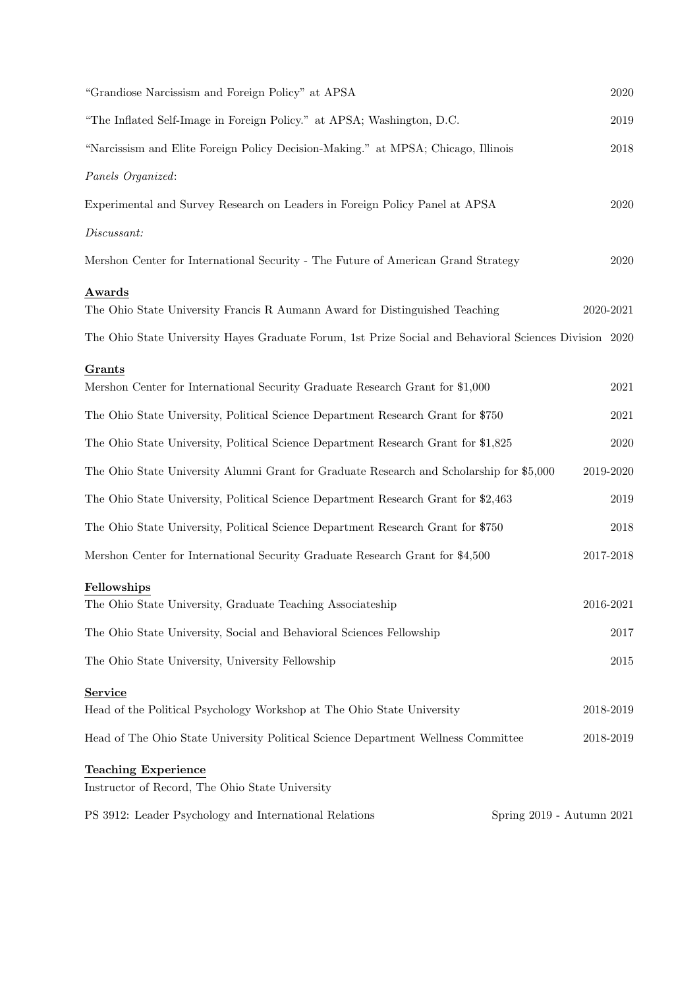| "Grandiose Narcissism and Foreign Policy" at APSA                                                      | 2020                      |
|--------------------------------------------------------------------------------------------------------|---------------------------|
| "The Inflated Self-Image in Foreign Policy." at APSA; Washington, D.C.                                 | 2019                      |
| "Narcissism and Elite Foreign Policy Decision-Making." at MPSA; Chicago, Illinois                      | $\,2018$                  |
| Panels Organized:                                                                                      |                           |
| Experimental and Survey Research on Leaders in Foreign Policy Panel at APSA                            | 2020                      |
| $\label{thm:discus-1} Discuss ant:$                                                                    |                           |
| Mershon Center for International Security - The Future of American Grand Strategy                      | 2020                      |
| Awards                                                                                                 |                           |
| The Ohio State University Francis R Aumann Award for Distinguished Teaching                            | 2020-2021                 |
| The Ohio State University Hayes Graduate Forum, 1st Prize Social and Behavioral Sciences Division 2020 |                           |
| Grants                                                                                                 |                           |
| Mershon Center for International Security Graduate Research Grant for \$1,000                          | 2021                      |
| The Ohio State University, Political Science Department Research Grant for \$750                       | 2021                      |
| The Ohio State University, Political Science Department Research Grant for \$1,825                     | 2020                      |
| The Ohio State University Alumni Grant for Graduate Research and Scholarship for \$5,000               | 2019-2020                 |
| The Ohio State University, Political Science Department Research Grant for \$2,463                     | $\,2019$                  |
| The Ohio State University, Political Science Department Research Grant for \$750                       | 2018                      |
| Mershon Center for International Security Graduate Research Grant for \$4,500                          | $2017 - 2018$             |
| Fellowships                                                                                            |                           |
| The Ohio State University, Graduate Teaching Associateship                                             | $2016 - 2021$             |
| The Ohio State University, Social and Behavioral Sciences Fellowship                                   | 2017                      |
| The Ohio State University, University Fellowship                                                       | 2015                      |
| <b>Service</b>                                                                                         |                           |
| Head of the Political Psychology Workshop at The Ohio State University                                 | 2018-2019                 |
| Head of The Ohio State University Political Science Department Wellness Committee                      | 2018-2019                 |
| <b>Teaching Experience</b>                                                                             |                           |
| Instructor of Record, The Ohio State University                                                        |                           |
| PS 3912: Leader Psychology and International Relations                                                 | Spring 2019 - Autumn 2021 |